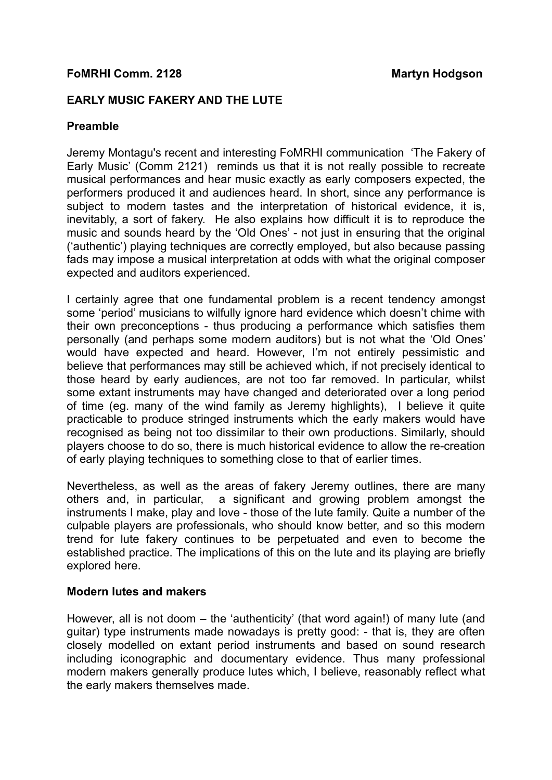# **FoMRHI Comm. 2128 Martyn Hodgson**

### **EARLY MUSIC FAKERY AND THE LUTE**

#### **Preamble**

Jeremy Montagu's recent and interesting FoMRHI communication 'The Fakery of Early Music' (Comm 2121) reminds us that it is not really possible to recreate musical performances and hear music exactly as early composers expected, the performers produced it and audiences heard. In short, since any performance is subject to modern tastes and the interpretation of historical evidence, it is, inevitably, a sort of fakery. He also explains how difficult it is to reproduce the music and sounds heard by the 'Old Ones' - not just in ensuring that the original ('authentic') playing techniques are correctly employed, but also because passing fads may impose a musical interpretation at odds with what the original composer expected and auditors experienced.

I certainly agree that one fundamental problem is a recent tendency amongst some 'period' musicians to wilfully ignore hard evidence which doesn't chime with their own preconceptions - thus producing a performance which satisfies them personally (and perhaps some modern auditors) but is not what the 'Old Ones' would have expected and heard. However, I'm not entirely pessimistic and believe that performances may still be achieved which, if not precisely identical to those heard by early audiences, are not too far removed. In particular, whilst some extant instruments may have changed and deteriorated over a long period of time (eg. many of the wind family as Jeremy highlights), I believe it quite practicable to produce stringed instruments which the early makers would have recognised as being not too dissimilar to their own productions. Similarly, should players choose to do so, there is much historical evidence to allow the re-creation of early playing techniques to something close to that of earlier times.

Nevertheless, as well as the areas of fakery Jeremy outlines, there are many others and, in particular, a significant and growing problem amongst the instruments I make, play and love - those of the lute family. Quite a number of the culpable players are professionals, who should know better, and so this modern trend for lute fakery continues to be perpetuated and even to become the established practice. The implications of this on the lute and its playing are briefly explored here.

#### **Modern lutes and makers**

However, all is not doom – the 'authenticity' (that word again!) of many lute (and guitar) type instruments made nowadays is pretty good: - that is, they are often closely modelled on extant period instruments and based on sound research including iconographic and documentary evidence. Thus many professional modern makers generally produce lutes which, I believe, reasonably reflect what the early makers themselves made.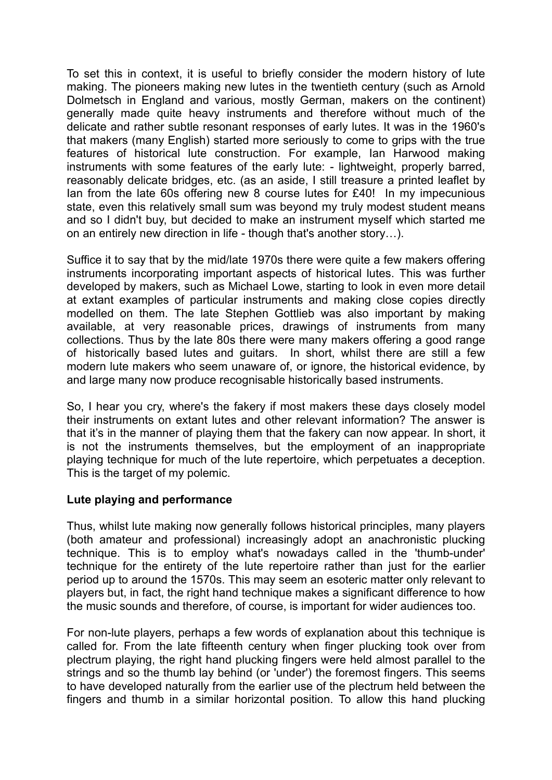To set this in context, it is useful to briefly consider the modern history of lute making. The pioneers making new lutes in the twentieth century (such as Arnold Dolmetsch in England and various, mostly German, makers on the continent) generally made quite heavy instruments and therefore without much of the delicate and rather subtle resonant responses of early lutes. It was in the 1960's that makers (many English) started more seriously to come to grips with the true features of historical lute construction. For example, Ian Harwood making instruments with some features of the early lute: - lightweight, properly barred, reasonably delicate bridges, etc. (as an aside, I still treasure a printed leaflet by Ian from the late 60s offering new 8 course lutes for £40! In my impecunious state, even this relatively small sum was beyond my truly modest student means and so I didn't buy, but decided to make an instrument myself which started me on an entirely new direction in life - though that's another story…).

Suffice it to say that by the mid/late 1970s there were quite a few makers offering instruments incorporating important aspects of historical lutes. This was further developed by makers, such as Michael Lowe, starting to look in even more detail at extant examples of particular instruments and making close copies directly modelled on them. The late Stephen Gottlieb was also important by making available, at very reasonable prices, drawings of instruments from many collections. Thus by the late 80s there were many makers offering a good range of historically based lutes and guitars. In short, whilst there are still a few modern lute makers who seem unaware of, or ignore, the historical evidence, by and large many now produce recognisable historically based instruments.

So, I hear you cry, where's the fakery if most makers these days closely model their instruments on extant lutes and other relevant information? The answer is that it's in the manner of playing them that the fakery can now appear. In short, it is not the instruments themselves, but the employment of an inappropriate playing technique for much of the lute repertoire, which perpetuates a deception. This is the target of my polemic.

# **Lute playing and performance**

Thus, whilst lute making now generally follows historical principles, many players (both amateur and professional) increasingly adopt an anachronistic plucking technique. This is to employ what's nowadays called in the 'thumb-under' technique for the entirety of the lute repertoire rather than just for the earlier period up to around the 1570s. This may seem an esoteric matter only relevant to players but, in fact, the right hand technique makes a significant difference to how the music sounds and therefore, of course, is important for wider audiences too.

For non-lute players, perhaps a few words of explanation about this technique is called for. From the late fifteenth century when finger plucking took over from plectrum playing, the right hand plucking fingers were held almost parallel to the strings and so the thumb lay behind (or 'under') the foremost fingers. This seems to have developed naturally from the earlier use of the plectrum held between the fingers and thumb in a similar horizontal position. To allow this hand plucking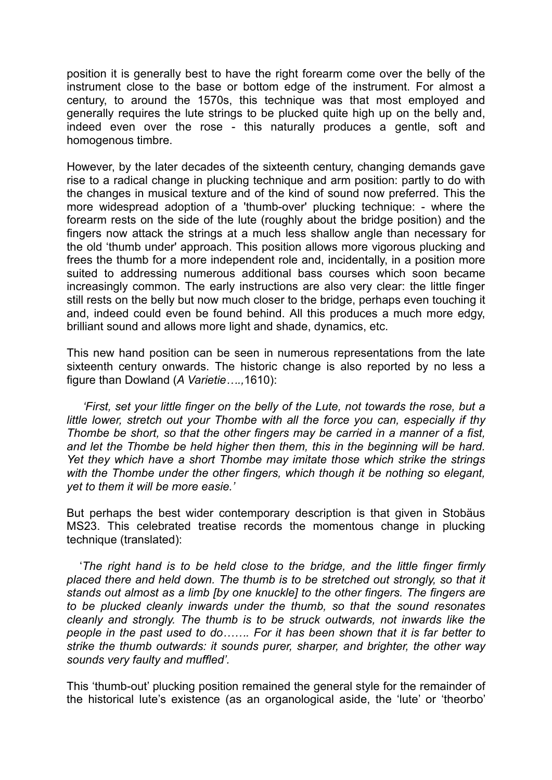position it is generally best to have the right forearm come over the belly of the instrument close to the base or bottom edge of the instrument. For almost a century, to around the 1570s, this technique was that most employed and generally requires the lute strings to be plucked quite high up on the belly and, indeed even over the rose - this naturally produces a gentle, soft and homogenous timbre.

However, by the later decades of the sixteenth century, changing demands gave rise to a radical change in plucking technique and arm position: partly to do with the changes in musical texture and of the kind of sound now preferred. This the more widespread adoption of a 'thumb-over' plucking technique: - where the forearm rests on the side of the lute (roughly about the bridge position) and the fingers now attack the strings at a much less shallow angle than necessary for the old 'thumb under' approach. This position allows more vigorous plucking and frees the thumb for a more independent role and, incidentally, in a position more suited to addressing numerous additional bass courses which soon became increasingly common. The early instructions are also very clear: the little finger still rests on the belly but now much closer to the bridge, perhaps even touching it and, indeed could even be found behind. All this produces a much more edgy, brilliant sound and allows more light and shade, dynamics, etc.

This new hand position can be seen in numerous representations from the late sixteenth century onwards. The historic change is also reported by no less a figure than Dowland (*A Varietie….,*1610):

 *'First, set your little finger on the belly of the Lute, not towards the rose, but a little lower, stretch out your Thombe with all the force you can, especially if thy Thombe be short, so that the other fingers may be carried in a manner of a fist, and let the Thombe be held higher then them, this in the beginning will be hard. Yet they which have a short Thombe may imitate those which strike the strings*  with the Thombe under the other fingers, which though it be nothing so elegant, *yet to them it will be more easie.'*

But perhaps the best wider contemporary description is that given in Stobäus MS23. This celebrated treatise records the momentous change in plucking technique (translated):

 '*The right hand is to be held close to the bridge, and the little finger firmly*  placed there and held down. The thumb is to be stretched out strongly, so that it *stands out almost as a limb [by one knuckle] to the other fingers. The fingers are to be plucked cleanly inwards under the thumb, so that the sound resonates cleanly and strongly. The thumb is to be struck outwards, not inwards like the people in the past used to do……. For it has been shown that it is far better to strike the thumb outwards: it sounds purer, sharper, and brighter, the other way sounds very faulty and muffled'.*

This 'thumb-out' plucking position remained the general style for the remainder of the historical lute's existence (as an organological aside, the 'lute' or 'theorbo'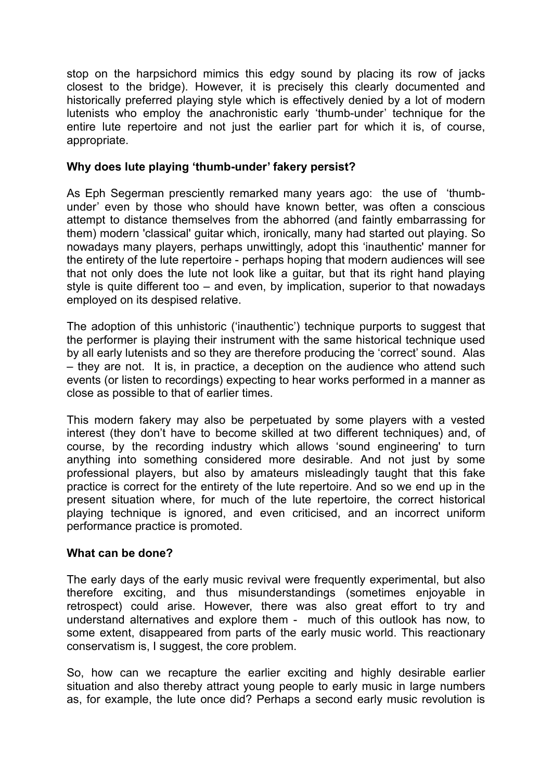stop on the harpsichord mimics this edgy sound by placing its row of jacks closest to the bridge). However, it is precisely this clearly documented and historically preferred playing style which is effectively denied by a lot of modern lutenists who employ the anachronistic early 'thumb-under' technique for the entire lute repertoire and not just the earlier part for which it is, of course, appropriate.

### **Why does lute playing 'thumb-under' fakery persist?**

As Eph Segerman presciently remarked many years ago: the use of 'thumbunder' even by those who should have known better, was often a conscious attempt to distance themselves from the abhorred (and faintly embarrassing for them) modern 'classical' guitar which, ironically, many had started out playing. So nowadays many players, perhaps unwittingly, adopt this 'inauthentic' manner for the entirety of the lute repertoire - perhaps hoping that modern audiences will see that not only does the lute not look like a guitar, but that its right hand playing style is quite different too – and even, by implication, superior to that nowadays employed on its despised relative.

The adoption of this unhistoric ('inauthentic') technique purports to suggest that the performer is playing their instrument with the same historical technique used by all early lutenists and so they are therefore producing the 'correct' sound. Alas – they are not. It is, in practice, a deception on the audience who attend such events (or listen to recordings) expecting to hear works performed in a manner as close as possible to that of earlier times.

This modern fakery may also be perpetuated by some players with a vested interest (they don't have to become skilled at two different techniques) and, of course, by the recording industry which allows 'sound engineering' to turn anything into something considered more desirable. And not just by some professional players, but also by amateurs misleadingly taught that this fake practice is correct for the entirety of the lute repertoire. And so we end up in the present situation where, for much of the lute repertoire, the correct historical playing technique is ignored, and even criticised, and an incorrect uniform performance practice is promoted.

# **What can be done?**

The early days of the early music revival were frequently experimental, but also therefore exciting, and thus misunderstandings (sometimes enjoyable in retrospect) could arise. However, there was also great effort to try and understand alternatives and explore them - much of this outlook has now, to some extent, disappeared from parts of the early music world. This reactionary conservatism is, I suggest, the core problem.

So, how can we recapture the earlier exciting and highly desirable earlier situation and also thereby attract young people to early music in large numbers as, for example, the lute once did? Perhaps a second early music revolution is